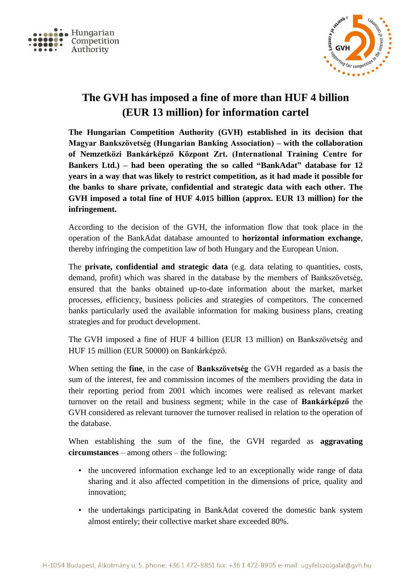



## **The GVH has imposed a fine of more than HUF 4 billion (EUR 13 million) for information cartel**

**The Hungarian Competition Authority (GVH) established in its decision that Magyar Bankszövetség (Hungarian Banking Association) – with the collaboration of Nemzetközi Bankárképző Központ Zrt. (International Training Centre for Bankers Ltd.) – had been operating the so called "BankAdat" database for 12 years in a way that was likely to restrict competition, as it had made it possible for the banks to share private, confidential and strategic data with each other. The GVH imposed a total fine of HUF 4.015 billion (approx. EUR 13 million) for the infringement.**

According to the decision of the GVH, the information flow that took place in the operation of the BankAdat database amounted to **horizontal information exchange**, thereby infringing the competition law of both Hungary and the European Union.

The **private, confidential and strategic data** (e.g. data relating to quantities, costs, demand, profit) which was shared in the database by the members of Bankszövetség, ensured that the banks obtained up-to-date information about the market, market processes, efficiency, business policies and strategies of competitors. The concerned banks particularly used the available information for making business plans, creating strategies and for product development.

The GVH imposed a fine of HUF 4 billion (EUR 13 million) on Bankszövetség and HUF 15 million (EUR 50000) on Bankárképző.

When setting the **fine**, in the case of **Bankszövetség** the GVH regarded as a basis the sum of the interest, fee and commission incomes of the members providing the data in their reporting period from 2001 which incomes were realised as relevant market turnover on the retail and business segment; while in the case of **Bankárképző** the GVH considered as relevant turnover the turnover realised in relation to the operation of the database.

When establishing the sum of the fine, the GVH regarded as **aggravating circumstances** – among others – the following:

- the uncovered information exchange led to an exceptionally wide range of data sharing and it also affected competition in the dimensions of price, quality and innovation;
- the undertakings participating in BankAdat covered the domestic bank system almost entirely; their collective market share exceeded 80%.